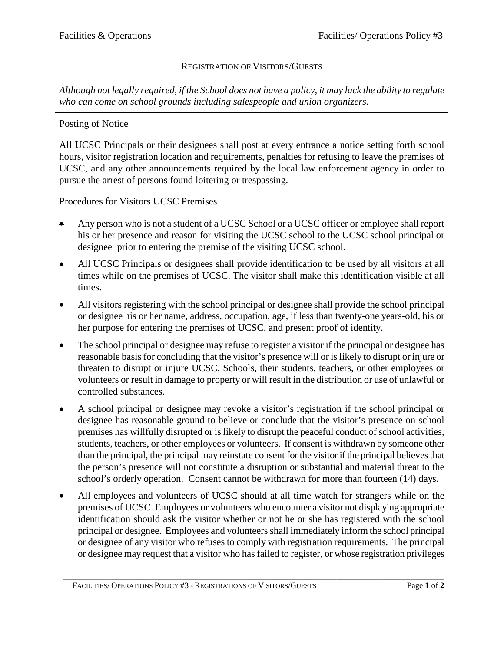## REGISTRATION OF VISITORS/GUESTS

*Although not legally required, if the School does not have a policy, it may lack the ability to regulate who can come on school grounds including salespeople and union organizers.*

## Posting of Notice

All UCSC Principals or their designees shall post at every entrance a notice setting forth school hours, visitor registration location and requirements, penalties for refusing to leave the premises of UCSC, and any other announcements required by the local law enforcement agency in order to pursue the arrest of persons found loitering or trespassing.

## Procedures for Visitors UCSC Premises

- Any person who is not a student of a UCSC School or a UCSC officer or employee shall report his or her presence and reason for visiting the UCSC school to the UCSC school principal or designee prior to entering the premise of the visiting UCSC school.
- All UCSC Principals or designees shall provide identification to be used by all visitors at all times while on the premises of UCSC. The visitor shall make this identification visible at all times.
- All visitors registering with the school principal or designee shall provide the school principal or designee his or her name, address, occupation, age, if less than twenty-one years-old, his or her purpose for entering the premises of UCSC, and present proof of identity.
- The school principal or designee may refuse to register a visitor if the principal or designee has reasonable basis for concluding that the visitor's presence will or is likely to disrupt or injure or threaten to disrupt or injure UCSC, Schools, their students, teachers, or other employees or volunteers or result in damage to property or will result in the distribution or use of unlawful or controlled substances.
- A school principal or designee may revoke a visitor's registration if the school principal or designee has reasonable ground to believe or conclude that the visitor's presence on school premises has willfully disrupted or is likely to disrupt the peaceful conduct of school activities, students, teachers, or other employees or volunteers. If consent is withdrawn by someone other than the principal, the principal may reinstate consent for the visitor if the principal believes that the person's presence will not constitute a disruption or substantial and material threat to the school's orderly operation. Consent cannot be withdrawn for more than fourteen (14) days.
- All employees and volunteers of UCSC should at all time watch for strangers while on the premises of UCSC. Employees or volunteers who encounter a visitor not displaying appropriate identification should ask the visitor whether or not he or she has registered with the school principal or designee. Employees and volunteers shall immediately inform the school principal or designee of any visitor who refuses to comply with registration requirements. The principal or designee may request that a visitor who has failed to register, or whose registration privileges

\_\_\_\_\_\_\_\_\_\_\_\_\_\_\_\_\_\_\_\_\_\_\_\_\_\_\_\_\_\_\_\_\_\_\_\_\_\_\_\_\_\_\_\_\_\_\_\_\_\_\_\_\_\_\_\_\_\_\_\_\_\_\_\_\_\_\_\_\_\_\_\_\_\_\_\_\_\_\_\_\_\_\_\_\_\_\_\_\_\_\_\_